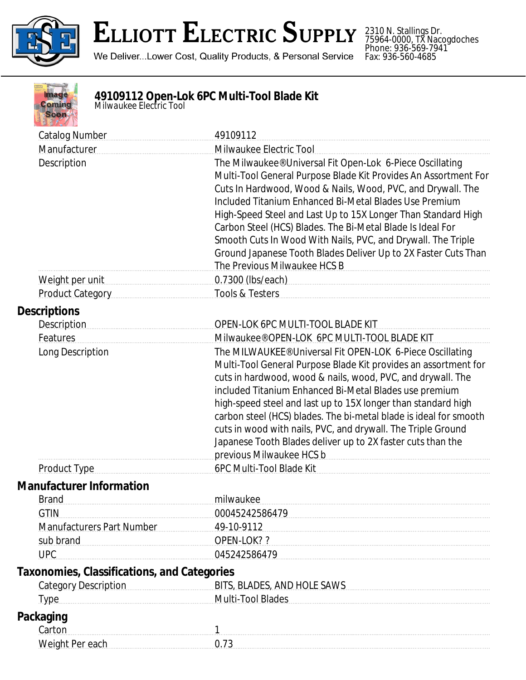

## **ELLIOTT ELECTRIC SUPPLY**

We Deliver...Lower Cost, Quality Products, & Personal Service

2310 N. Stallings Dr. 75964-0000, TX Nacogdoches Phone: 936-569-7941 Fax: 936-560-4685



## **49109112 Open-Lok 6PC Multi-Tool Blade Kit** *Milwaukee Electric Tool*

| <b>Catalog Number</b>                              | 49109112                                                                                                                                                                                                                      |
|----------------------------------------------------|-------------------------------------------------------------------------------------------------------------------------------------------------------------------------------------------------------------------------------|
| Manufacturer                                       | Milwaukee Electric Tool                                                                                                                                                                                                       |
| Description                                        | The Milwaukee® Universal Fit Open-Lok 6-Piece Oscillating                                                                                                                                                                     |
|                                                    | Multi-Tool General Purpose Blade Kit Provides An Assortment For                                                                                                                                                               |
|                                                    | Cuts In Hardwood, Wood & Nails, Wood, PVC, and Drywall. The                                                                                                                                                                   |
|                                                    | Included Titanium Enhanced Bi-Metal Blades Use Premium                                                                                                                                                                        |
|                                                    | High-Speed Steel and Last Up to 15X Longer Than Standard High                                                                                                                                                                 |
|                                                    | Carbon Steel (HCS) Blades. The Bi-Metal Blade Is Ideal For                                                                                                                                                                    |
|                                                    | Smooth Cuts In Wood With Nails, PVC, and Drywall. The Triple                                                                                                                                                                  |
|                                                    | Ground Japanese Tooth Blades Deliver Up to 2X Faster Cuts Than                                                                                                                                                                |
|                                                    | The Previous Milwaukee HCS B                                                                                                                                                                                                  |
| Weight per unit                                    | 0.7300 (lbs/each) example and the state of the state of the state of the state of the state of the state of the state of the state of the state of the state of the state of the state of the state of the state of the state |
| Product Category                                   | Tools & Testers                                                                                                                                                                                                               |
| <b>Descriptions</b>                                |                                                                                                                                                                                                                               |
| <b>Description</b>                                 | OPEN-LOK 6PC MULTI-TOOL BLADE KIT                                                                                                                                                                                             |
| Features                                           | Milwaukee® OPEN-LOK 6PC MULTI-TOOL BLADE KIT                                                                                                                                                                                  |
| Long Description                                   | The MILWAUKEE® Universal Fit OPEN-LOK 6-Piece Oscillating                                                                                                                                                                     |
|                                                    | Multi-Tool General Purpose Blade Kit provides an assortment for                                                                                                                                                               |
|                                                    | cuts in hardwood, wood & nails, wood, PVC, and drywall. The                                                                                                                                                                   |
|                                                    | included Titanium Enhanced Bi-Metal Blades use premium                                                                                                                                                                        |
|                                                    | high-speed steel and last up to 15X longer than standard high                                                                                                                                                                 |
|                                                    | carbon steel (HCS) blades. The bi-metal blade is ideal for smooth                                                                                                                                                             |
|                                                    | cuts in wood with nails, PVC, and drywall. The Triple Ground                                                                                                                                                                  |
|                                                    | Japanese Tooth Blades deliver up to 2X faster cuts than the                                                                                                                                                                   |
|                                                    | previous Milwaukee HCS b                                                                                                                                                                                                      |
| Product Type                                       | 6PC Multi-Tool Blade Kit                                                                                                                                                                                                      |
| <b>Manufacturer Information</b>                    |                                                                                                                                                                                                                               |
| <b>Brand</b>                                       | milwaukee                                                                                                                                                                                                                     |
| <b>GTIN</b>                                        | 00045242586479                                                                                                                                                                                                                |
| <b>Manufacturers Part Number</b>                   | 49-10-9112                                                                                                                                                                                                                    |
| sub brand                                          | OPEN-LOK? ?                                                                                                                                                                                                                   |
| <b>UPC</b>                                         | 045242586479                                                                                                                                                                                                                  |
| <b>Taxonomies, Classifications, and Categories</b> |                                                                                                                                                                                                                               |
| <b>Category Description</b>                        | BITS, BLADES, AND HOLE SAWS                                                                                                                                                                                                   |
| Multi-Tool Blades<br><b>Type</b>                   |                                                                                                                                                                                                                               |
| Packaging                                          |                                                                                                                                                                                                                               |
| Carton                                             | 1                                                                                                                                                                                                                             |
| Weight Per each                                    | 0.73                                                                                                                                                                                                                          |